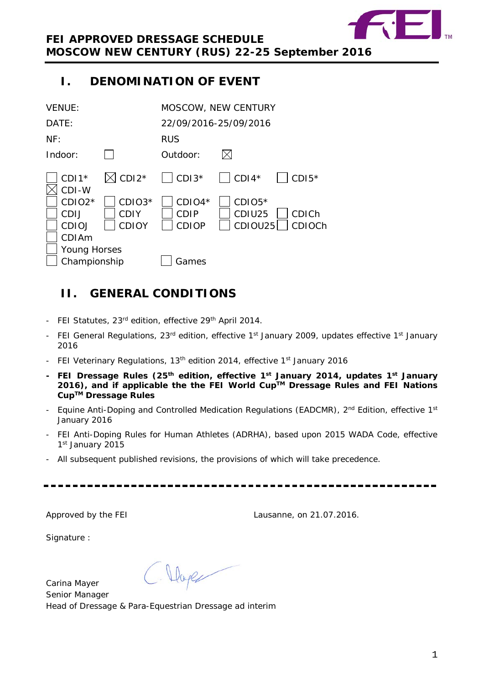

# <span id="page-0-0"></span>**I. DENOMINATION OF EVENT**

| <b>VENUE:</b>                                |                                         |                                  | <b>MOSCOW, NEW CENTURY</b>                              |  |  |
|----------------------------------------------|-----------------------------------------|----------------------------------|---------------------------------------------------------|--|--|
| DATE:                                        |                                         | 22/09/2016-25/09/2016            |                                                         |  |  |
| NF:                                          |                                         | <b>RUS</b>                       |                                                         |  |  |
| Indoor:                                      |                                         | Outdoor:                         |                                                         |  |  |
| $CDI1*$<br>CDI-W                             | $\boxtimes$ CDI2*                       | $CDI3*$                          | $\vert$ CDI4*<br>$CDI5*$                                |  |  |
| CDIO <sub>2</sub> *<br>CDIJ<br><b>CDIOJ</b>  | $CDIO3*$<br><b>CDIY</b><br><b>CDIOY</b> | $CDIO4*$<br>CDIP<br><b>CDIOP</b> | $CDIO5*$<br>CDIU25<br><b>CDICh</b><br>CDIOU25<br>CDIOCh |  |  |
| CDIAm<br><b>Young Horses</b><br>Championship |                                         | Games                            |                                                         |  |  |

# <span id="page-0-1"></span>**II. GENERAL CONDITIONS**

- FEI Statutes, 23<sup>rd</sup> edition, effective 29<sup>th</sup> April 2014.
- FEI General Regulations, 23<sup>rd</sup> edition, effective 1<sup>st</sup> January 2009, updates effective 1<sup>st</sup> January 2016
- FEI Veterinary Regulations, 13<sup>th</sup> edition 2014, effective 1<sup>st</sup> January 2016
- **- FEI Dressage Rules (25th edition, effective 1st January 2014, updates 1st January 2016), and if applicable the the FEI World CupTM Dressage Rules and FEI Nations CupTM Dressage Rules**
- Equine Anti-Doping and Controlled Medication Regulations (EADCMR),  $2^{nd}$  Edition, effective 1<sup>st</sup> January 2016
- FEI Anti-Doping Rules for Human Athletes (ADRHA), based upon 2015 WADA Code, effective 1st January 2015
- All subsequent published revisions, the provisions of which will take precedence.

Approved by the FEI Lausanne, on 21.07.2016.

Signature :

C. Dage Carina Mayer Senior Manager Head of Dressage & Para-Equestrian Dressage ad interim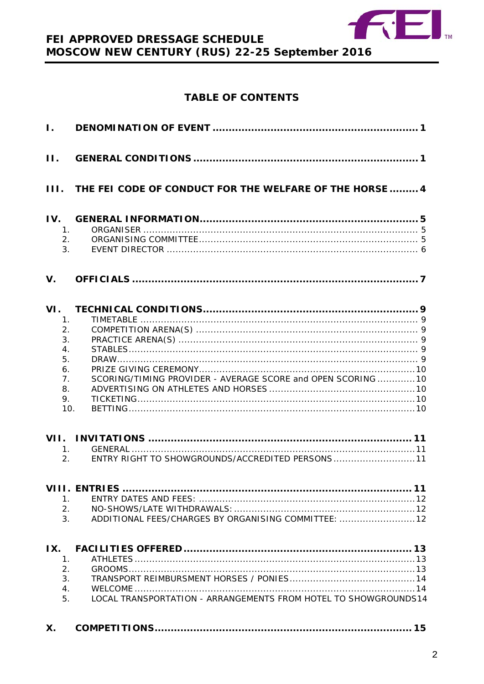

## **TABLE OF CONTENTS**

| $\mathbf{I}$ . |                                                                         |                                                                 |
|----------------|-------------------------------------------------------------------------|-----------------------------------------------------------------|
| $\Pi$ .        |                                                                         |                                                                 |
| III.           |                                                                         | THE FEI CODE OF CONDUCT FOR THE WELFARE OF THE HORSE  4         |
| IV.            | 1.<br>2.<br>3.                                                          |                                                                 |
| $V_{\cdot}$    |                                                                         |                                                                 |
| VI.            | 1.<br>2.<br>3.<br>$\overline{4}$ .<br>5.<br>6.<br>7.<br>8.<br>9.<br>10. | SCORING/TIMING PROVIDER - AVERAGE SCORE and OPEN SCORING  10    |
| VII.           | 1.<br>2.                                                                | 11<br>ENTRY RIGHT TO SHOWGROUNDS/ACCREDITED PERSONS11           |
|                | 1.<br>2.<br>3.                                                          | ADDITIONAL FEES/CHARGES BY ORGANISING COMMITTEE:  12            |
| IX.            | 1.<br>2.<br>3.<br>4.<br>5.                                              | LOCAL TRANSPORTATION - ARRANGEMENTS FROM HOTEL TO SHOWGROUNDS14 |
| Х.             |                                                                         |                                                                 |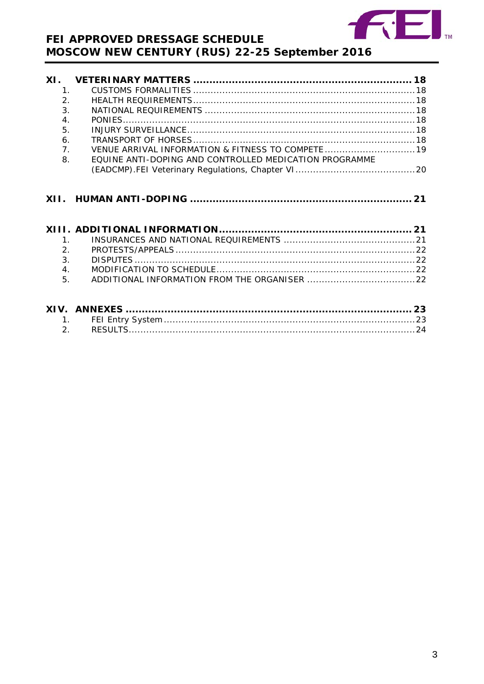

| XI.                  |                                                        |  |
|----------------------|--------------------------------------------------------|--|
| 1 <sub>1</sub>       |                                                        |  |
| 2.                   |                                                        |  |
| 3 <sub>1</sub>       |                                                        |  |
| 4.                   |                                                        |  |
| 5.                   |                                                        |  |
| 6.                   |                                                        |  |
| 7 <sub>1</sub>       |                                                        |  |
| 8.                   | EQUINE ANTI-DOPING AND CONTROLLED MEDICATION PROGRAMME |  |
|                      |                                                        |  |
|                      |                                                        |  |
|                      |                                                        |  |
| $\mathbf{1}$ .       |                                                        |  |
| 2.<br>3 <sub>1</sub> |                                                        |  |
| 4.                   |                                                        |  |
| 5.                   |                                                        |  |
|                      |                                                        |  |
|                      |                                                        |  |
|                      | 1 <sup>1</sup>                                         |  |
|                      |                                                        |  |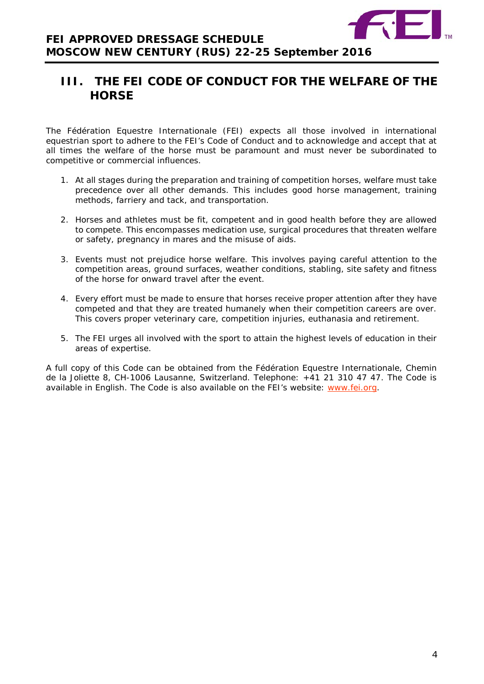

# <span id="page-3-0"></span>**III. THE FEI CODE OF CONDUCT FOR THE WELFARE OF THE HORSE**

The Fédération Equestre Internationale (FEI) expects all those involved in international equestrian sport to adhere to the FEI's Code of Conduct and to acknowledge and accept that at all times the welfare of the horse must be paramount and must never be subordinated to competitive or commercial influences.

- 1. At all stages during the preparation and training of competition horses, welfare must take precedence over all other demands. This includes good horse management, training methods, farriery and tack, and transportation.
- 2. Horses and athletes must be fit, competent and in good health before they are allowed to compete. This encompasses medication use, surgical procedures that threaten welfare or safety, pregnancy in mares and the misuse of aids.
- 3. Events must not prejudice horse welfare. This involves paying careful attention to the competition areas, ground surfaces, weather conditions, stabling, site safety and fitness of the horse for onward travel after the event.
- 4. Every effort must be made to ensure that horses receive proper attention after they have competed and that they are treated humanely when their competition careers are over. This covers proper veterinary care, competition injuries, euthanasia and retirement.
- <span id="page-3-1"></span>5. The FEI urges all involved with the sport to attain the highest levels of education in their areas of expertise.

A full copy of this Code can be obtained from the Fédération Equestre Internationale, Chemin de la Joliette 8, CH-1006 Lausanne, Switzerland. Telephone: +41 21 310 47 47. The Code is available in English. The Code is also available on the FEI's website: [www.fei.org.](http://www.fei.org/)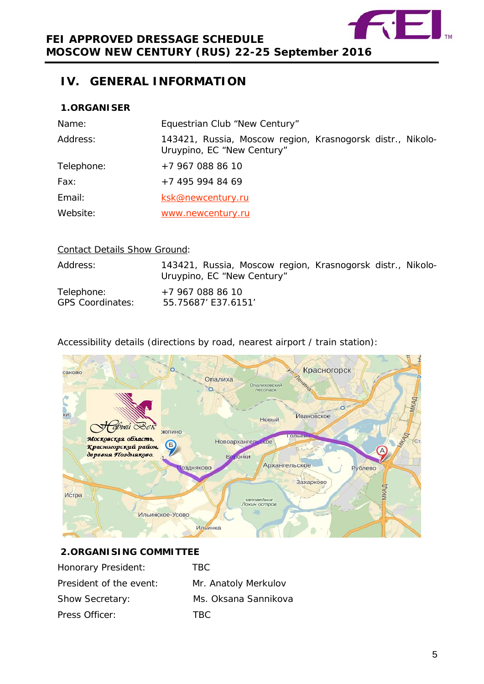

# **IV. GENERAL INFORMATION**

## <span id="page-4-0"></span>**1.ORGANISER**

| Name:      | Equestrian Club "New Century"                                                            |
|------------|------------------------------------------------------------------------------------------|
| Address:   | 143421, Russia, Moscow region, Krasnogorsk distr., Nikolo-<br>Uruypino, EC "New Century" |
| Telephone: | +7 967 088 86 10                                                                         |
| Fax:       | +7 495 994 84 69                                                                         |
| Email:     | ksk@newcentury.ru                                                                        |
| Website:   | www.newcentury.ru                                                                        |

## Contact Details Show Ground:

| Address:                              | 143421, Russia, Moscow region, Krasnogorsk distr., Nikolo-<br>Uruypino, EC "New Century" |  |  |
|---------------------------------------|------------------------------------------------------------------------------------------|--|--|
| Telephone:<br><b>GPS Coordinates:</b> | +7 967 088 86 10<br>55.75687' E37.6151'                                                  |  |  |

## Accessibility details (directions by road, nearest airport / train station):



## <span id="page-4-1"></span>**2.ORGANISING COMMITTEE**

| Honorary President:     | TRC.                 |
|-------------------------|----------------------|
| President of the event: | Mr. Anatoly Merkulov |
| <b>Show Secretary:</b>  | Ms. Oksana Sannikova |
| Press Officer:          | TBC.                 |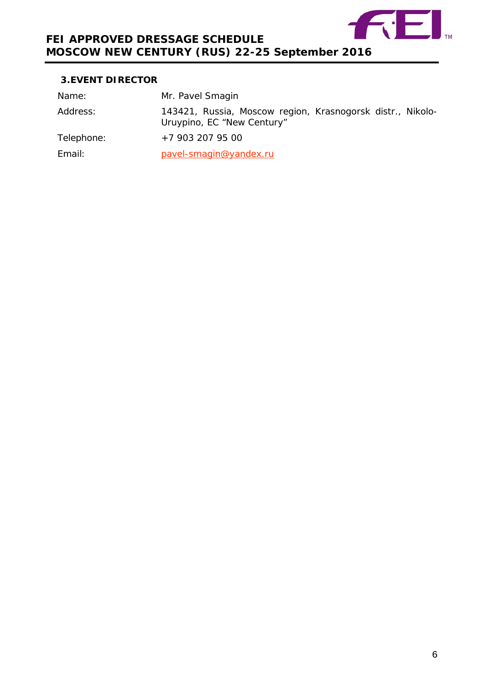

## <span id="page-5-0"></span>**3.EVENT DIRECTOR**

| Name:      | Mr. Pavel Smagin                                                                         |
|------------|------------------------------------------------------------------------------------------|
| Address:   | 143421, Russia, Moscow region, Krasnogorsk distr., Nikolo-<br>Uruypino, EC "New Century" |
| Telephone: | +7 903 207 95 00                                                                         |
| Email:     | pavel-smagin@yandex.ru                                                                   |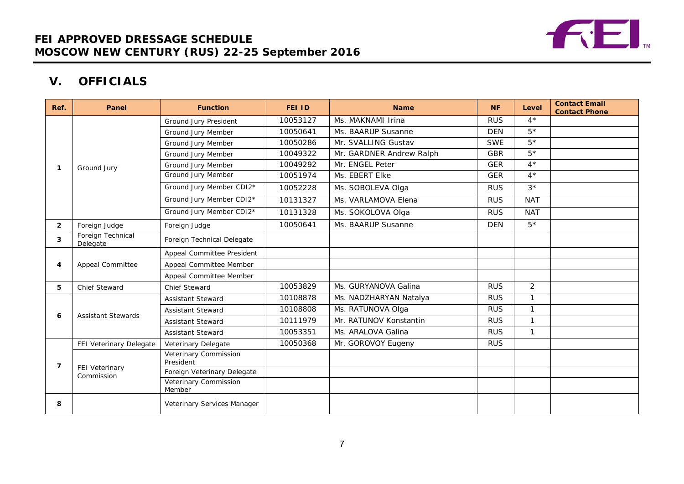

# **V. OFFICIALS**

<span id="page-6-0"></span>

| Ref.           | Panel                         | <b>Function</b>                    | <b>FEI ID</b> | <b>Name</b>              | <b>NF</b>  | Level          | <b>Contact Email</b><br><b>Contact Phone</b> |
|----------------|-------------------------------|------------------------------------|---------------|--------------------------|------------|----------------|----------------------------------------------|
|                |                               | Ground Jury President              | 10053127      | Ms. MAKNAMI Irina        | <b>RUS</b> | $4*$           |                                              |
|                |                               | Ground Jury Member                 | 10050641      | Ms. BAARUP Susanne       | <b>DEN</b> | $5*$           |                                              |
|                |                               | Ground Jury Member                 | 10050286      | Mr. SVALLING Gustav      | <b>SWE</b> | $5^{\,*}$      |                                              |
|                |                               | Ground Jury Member                 | 10049322      | Mr. GARDNER Andrew Ralph | <b>GBR</b> | $5*$           |                                              |
|                | Ground Jury                   | Ground Jury Member                 | 10049292      | Mr. ENGEL Peter          | <b>GER</b> | $4*$           |                                              |
|                |                               | <b>Ground Jury Member</b>          | 10051974      | Ms. EBERT Elke           | <b>GER</b> | $4^{\star}$    |                                              |
|                |                               | Ground Jury Member CDI2*           | 10052228      | Ms. SOBOLEVA Olga        | <b>RUS</b> | $3*$           |                                              |
|                |                               | Ground Jury Member CDI2*           | 10131327      | Ms. VARLAMOVA Elena      | <b>RUS</b> | <b>NAT</b>     |                                              |
|                |                               | Ground Jury Member CDI2*           | 10131328      | Ms. SOKOLOVA Olga        | <b>RUS</b> | <b>NAT</b>     |                                              |
| $\overline{2}$ | Foreign Judge                 | Foreign Judge                      | 10050641      | Ms. BAARUP Susanne       | <b>DEN</b> | $5*$           |                                              |
| 3              | Foreign Technical<br>Delegate | Foreign Technical Delegate         |               |                          |            |                |                                              |
|                | <b>Appeal Committee</b>       | Appeal Committee President         |               |                          |            |                |                                              |
| 4              |                               | Appeal Committee Member            |               |                          |            |                |                                              |
|                |                               | Appeal Committee Member            |               |                          |            |                |                                              |
| 5              | <b>Chief Steward</b>          | Chief Steward                      | 10053829      | Ms. GURYANOVA Galina     | <b>RUS</b> | $\overline{2}$ |                                              |
|                |                               | <b>Assistant Steward</b>           | 10108878      | Ms. NADZHARYAN Natalya   | <b>RUS</b> | 1              |                                              |
| 6              | <b>Assistant Stewards</b>     | <b>Assistant Steward</b>           | 10108808      | Ms. RATUNOVA Olga        | <b>RUS</b> | $\mathbf{1}$   |                                              |
|                |                               | <b>Assistant Steward</b>           | 10111979      | Mr. RATUNOV Konstantin   | <b>RUS</b> | $\mathbf{1}$   |                                              |
|                |                               | <b>Assistant Steward</b>           | 10053351      | Ms. ARALOVA Galina       | <b>RUS</b> | 1              |                                              |
|                | FEI Veterinary Delegate       | Veterinary Delegate                | 10050368      | Mr. GOROVOY Eugeny       | <b>RUS</b> |                |                                              |
| 7              |                               | Veterinary Commission<br>President |               |                          |            |                |                                              |
|                | FEI Veterinary<br>Commission  | Foreign Veterinary Delegate        |               |                          |            |                |                                              |
|                |                               | Veterinary Commission<br>Member    |               |                          |            |                |                                              |
| 8              |                               | Veterinary Services Manager        |               |                          |            |                |                                              |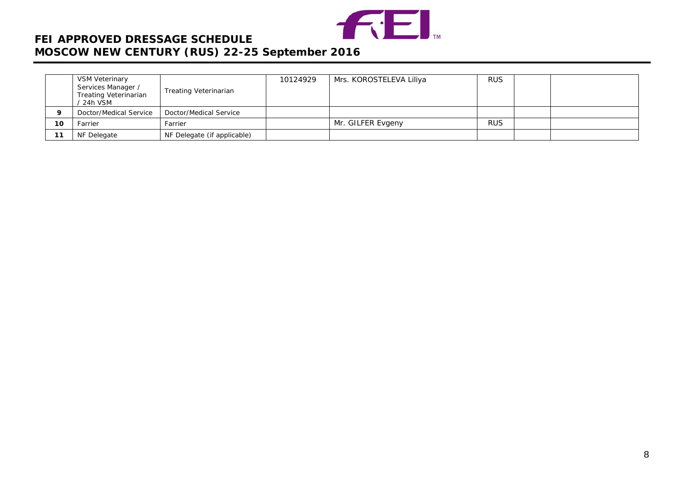

|          | VSM Veterinary<br>Services Manager /<br><b>Treating Veterinarian</b><br>/ 24h VSM | Treating Veterinarian       | 10124929 | Mrs. KOROSTELEVA Liliya | <b>RUS</b> |  |
|----------|-----------------------------------------------------------------------------------|-----------------------------|----------|-------------------------|------------|--|
| $\Omega$ | Doctor/Medical Service                                                            | Doctor/Medical Service      |          |                         |            |  |
| 10       | Farrier                                                                           | Farrier                     |          | Mr. GILFER Evgeny       | <b>RUS</b> |  |
| 11       | NF Delegate                                                                       | NF Delegate (if applicable) |          |                         |            |  |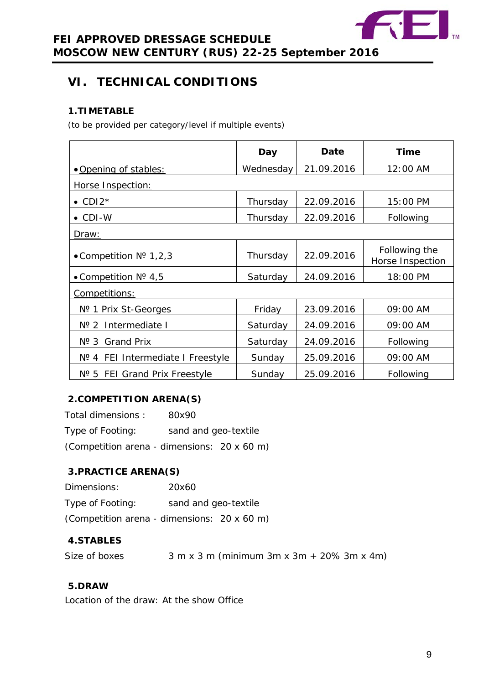

# <span id="page-8-0"></span>**VI. TECHNICAL CONDITIONS**

## <span id="page-8-1"></span>**1.TIMETABLE**

*(to be provided per category/level if multiple events)*

|                                   | Day       | Date       | Time                              |
|-----------------------------------|-----------|------------|-----------------------------------|
| • Opening of stables:             | Wednesday | 21.09.2016 | 12:00 AM                          |
| Horse Inspection:                 |           |            |                                   |
| $\bullet$ CDI2*                   | Thursday  | 22.09.2016 | 15:00 PM                          |
| $\bullet$ CDI-W                   | Thursday  | 22.09.2016 | Following                         |
| <u>Draw:</u>                      |           |            |                                   |
| • Competition $N^{\circ}$ 1,2,3   | Thursday  | 22.09.2016 | Following the<br>Horse Inspection |
| • Competition $N^{\circ}$ 4,5     | Saturday  | 24.09.2016 | 18:00 PM                          |
| Competitions:                     |           |            |                                   |
| Nº 1 Prix St-Georges              | Friday    | 23.09.2016 | 09:00 AM                          |
| $N^{o}$ 2<br>Intermediate I       | Saturday  | 24.09.2016 | 09:00 AM                          |
| Nº 3 Grand Prix                   | Saturday  | 24.09.2016 | Following                         |
| Nº 4 FEI Intermediate I Freestyle | Sunday    | 25.09.2016 | 09:00 AM                          |
| Nº 5 FEI Grand Prix Freestyle     | Sunday    | 25.09.2016 | Following                         |

## <span id="page-8-2"></span>**2.COMPETITION ARENA(S)**

Total dimensions : 80x90 Type of Footing: sand and geo-textile (Competition arena - dimensions: 20 x 60 m)

## <span id="page-8-3"></span>**3.PRACTICE ARENA(S)**

| Dimensions:      | 20x60                                       |
|------------------|---------------------------------------------|
| Type of Footing: | sand and geo-textile                        |
|                  | (Competition arena - dimensions: 20 x 60 m) |

## <span id="page-8-4"></span>**4.STABLES**

Size of boxes  $3 m x 3 m$  (minimum  $3m x 3m + 20\% 3m x 4m$ )

## <span id="page-8-5"></span>**5.DRAW**

Location of the draw: At the show Office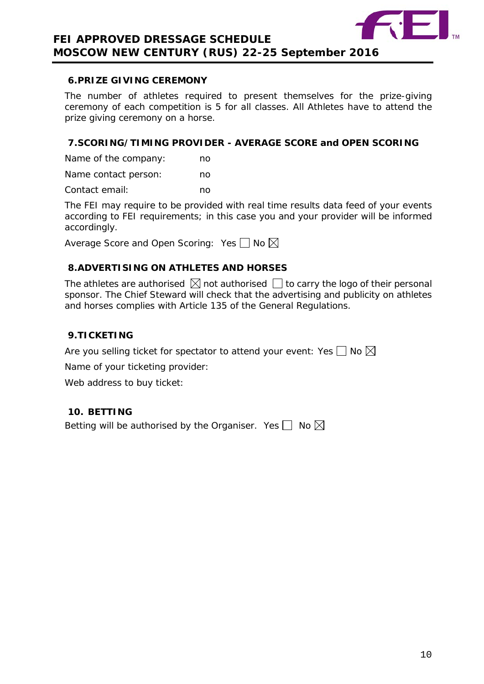

## <span id="page-9-0"></span>**6.PRIZE GIVING CEREMONY**

The number of athletes required to present themselves for the prize-giving ceremony of each competition is 5 for all classes. All Athletes have to attend the prize giving ceremony on a horse.

## <span id="page-9-1"></span>**7.SCORING/TIMING PROVIDER - AVERAGE SCORE and OPEN SCORING**

Name of the company: no

Name contact person: ho Contact email: no

The FEI may require to be provided with real time results data feed of your events according to FEI requirements; in this case you and your provider will be informed accordingly.

Average Score and Open Scoring: Yes  $\Box$  No  $\boxtimes$ 

## <span id="page-9-2"></span>**8.ADVERTISING ON ATHLETES AND HORSES**

The athletes are authorised  $\boxtimes$  not authorised  $\Box$  to carry the logo of their personal sponsor. The Chief Steward will check that the advertising and publicity on athletes and horses complies with Article 135 of the General Regulations.

## <span id="page-9-3"></span>**9.TICKETING**

Are you selling ticket for spectator to attend your event: Yes  $\Box$  No  $\boxtimes$ 

Name of your ticketing provider:

Web address to buy ticket:

## <span id="page-9-4"></span>**10. BETTING**

Betting will be authorised by the Organiser. Yes  $\Box$  No  $\boxtimes$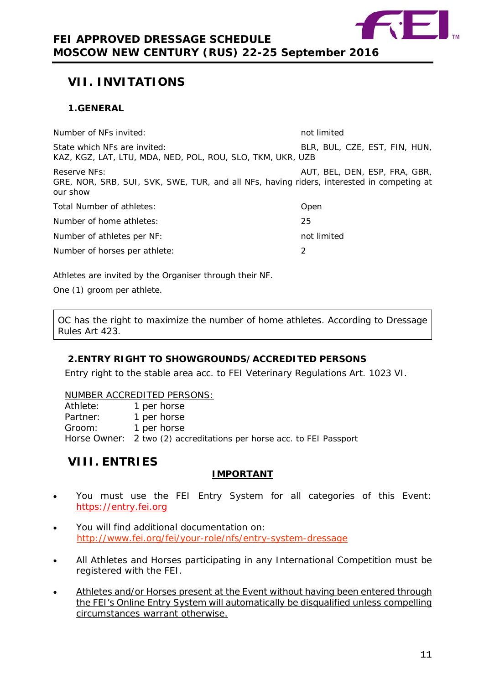

# <span id="page-10-0"></span>**VII. INVITATIONS**

## <span id="page-10-1"></span>**1.GENERAL**

Number of NFs invited: not limited and limited in the not limited in the not limited in the not limited in the not limited in the not limited in the not limited in the not limited in the normal state in the normal state in State which NFs are invited:  $BLR$ , BLR, BUL, CZE, EST, FIN, HUN, KAZ, KGZ, LAT, LTU, MDA, NED, POL, ROU, SLO, TKM, UKR, UZB Reserve NFs: AUT, BEL, DEN, ESP, FRA, GBR, GRE, NOR, SRB, SUI, SVK, SWE, TUR, and all NFs, having riders, interested in competing at our show Total Number of athletes: Communication open Number of home athletes: 25 Number of athletes per NF: not limited Number of horses per athlete: 2

Athletes are invited by the Organiser through their NF.

One (1) groom per athlete.

OC has the right to maximize the number of home athletes. According to Dressage Rules Art 423.

## <span id="page-10-2"></span>**2.ENTRY RIGHT TO SHOWGROUNDS/ACCREDITED PERSONS**

Entry right to the stable area acc. to FEI Veterinary Regulations Art. 1023 VI.

#### NUMBER ACCREDITED PERSONS:

| Athlete: | 1 per horse                                                          |
|----------|----------------------------------------------------------------------|
| Partner: | 1 per horse                                                          |
| Groom:   | 1 per horse                                                          |
|          | Horse Owner: 2 two (2) accreditations per horse acc. to FEI Passport |

## <span id="page-10-3"></span>**VIII. ENTRIES**

## **IMPORTANT**

- You must use the FEI Entry System for all categories of this Event: [https://entry.fei.org](https://entry.fei.org/)
- You will find additional documentation on: <http://www.fei.org/fei/your-role/nfs/entry-system-dressage>
- All Athletes and Horses participating in any International Competition must be registered with the FEI.
- Athletes and/or Horses present at the Event without having been entered through the FEI's Online Entry System will automatically be disqualified unless compelling circumstances warrant otherwise.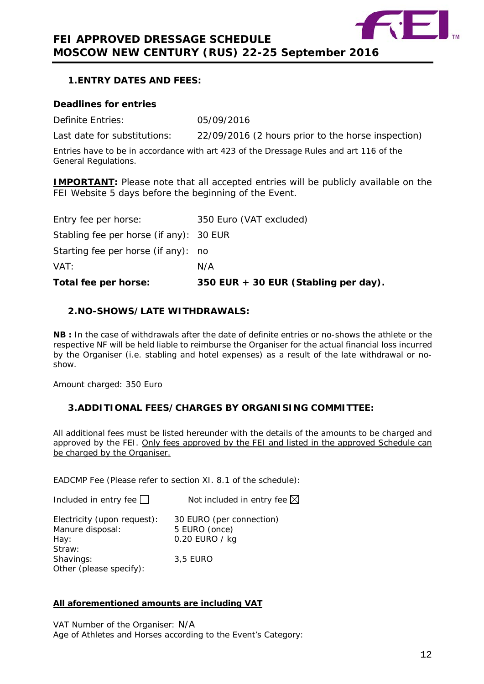

## <span id="page-11-0"></span>**1.ENTRY DATES AND FEES:**

#### **Deadlines for entries**

Definite Entries: 05/09/2016

Last date for substitutions: 22/09/2016 (2 hours prior to the horse inspection)

Entries have to be in accordance with art 423 of the Dressage Rules and art 116 of the General Regulations.

**IMPORTANT:** Please note that all accepted entries will be publicly available on the FEI Website 5 days before the beginning of the Event.

| Total fee per horse:                    | 350 EUR + 30 EUR (Stabling per day). |
|-----------------------------------------|--------------------------------------|
| VAT:                                    | N/A                                  |
| Starting fee per horse (if any): no     |                                      |
| Stabling fee per horse (if any): 30 EUR |                                      |
| Entry fee per horse:                    | 350 Euro (VAT excluded)              |

## <span id="page-11-1"></span>**2.NO-SHOWS/LATE WITHDRAWALS:**

**NB :** In the case of withdrawals after the date of definite entries or no-shows the athlete or the respective NF will be held liable to reimburse the Organiser for the actual financial loss incurred by the Organiser (i.e. stabling and hotel expenses) as a result of the late withdrawal or noshow.

Amount charged: 350 Euro

## <span id="page-11-2"></span>**3.ADDITIONAL FEES/CHARGES BY ORGANISING COMMITTEE:**

All additional fees must be listed hereunder with the details of the amounts to be charged and approved by the FEI. Only fees approved by the FEI and listed in the approved Schedule can be charged by the Organiser.

EADCMP Fee (Please refer to section XI. 8.1 of the schedule):

| Included in entry fee $\Box$                    | Not included in entry fee $\boxtimes$     |
|-------------------------------------------------|-------------------------------------------|
| Electricity (upon request):<br>Manure disposal: | 30 EURO (per connection)<br>5 EURO (once) |
| Hay:                                            | 0.20 EURO / kg                            |
| Straw:<br>Shavings:<br>Other (please specify):  | 3.5 EURO                                  |

## **All aforementioned amounts are including VAT**

VAT Number of the Organiser: N/A Age of Athletes and Horses according to the Event's Category: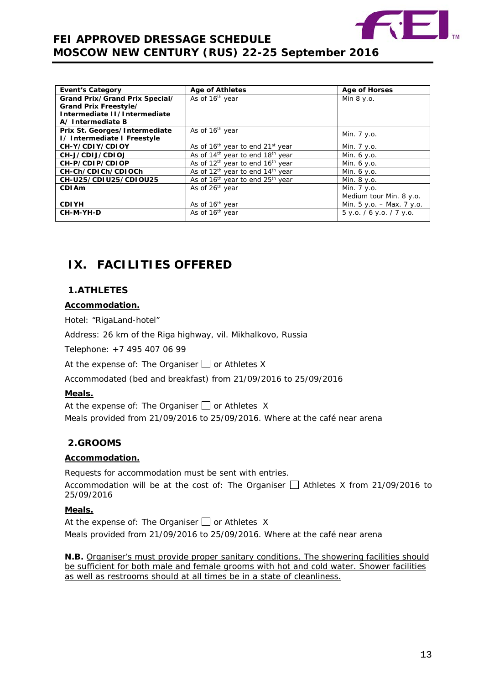

| <b>Event's Category</b>        | <b>Age of Athletes</b>                                   | <b>Age of Horses</b>      |
|--------------------------------|----------------------------------------------------------|---------------------------|
| Grand Prix/Grand Prix Special/ | As of 16 <sup>th</sup> year                              | Min $8 y.o.$              |
| Grand Prix Freestyle/          |                                                          |                           |
| Intermediate II/Intermediate   |                                                          |                           |
| A/ Intermediate B              |                                                          |                           |
| Prix St. Georges/Intermediate  | As of 16 <sup>th</sup> year                              |                           |
| I/ Intermediate I Freestyle    |                                                          | Min. 7 y.o.               |
| CH-Y/CDIY/CDIOY                | As of 16 <sup>th</sup> year to end 21 <sup>st</sup> year | Min. 7 y.o.               |
| CH-J/CDIJ/CDIOJ                | As of 14 <sup>th</sup> year to end 18 <sup>th</sup> year | Min. $6 y.o.$             |
| CH-P/CDIP/CDIOP                | As of 12 <sup>th</sup> year to end 16 <sup>th</sup> year | Min. 6 y.o.               |
| CH-Ch/CDICh/CDIOCh             | As of $12^{th}$ year to end $14^{th}$ year               | Min. 6 y.o.               |
| CH-U25/CDIU25/CDIOU25          | As of 16 <sup>th</sup> year to end 25 <sup>th</sup> year | Min. 8 y.o.               |
| <b>CDIAm</b>                   | As of 26 <sup>th</sup> year                              | Min. 7 y.o.               |
|                                |                                                          | Medium tour Min. 8 y.o.   |
| <b>CDIYH</b>                   | As of 16 <sup>th</sup> year                              | Min. 5 y.o. - Max. 7 y.o. |
| CH-M-YH-D                      | As of 16 <sup>th</sup> year                              | 5 y.o. / 6 y.o. / 7 y.o.  |
|                                |                                                          |                           |

# <span id="page-12-0"></span>**IX. FACILITIES OFFERED**

## <span id="page-12-1"></span>**1.ATHLETES**

## **Accommodation.**

Hotel: "RigaLand-hotel"

Address: 26 km of the Riga highway, vil. Mikhalkovo, Russia

Telephone: +7 495 407 06 99

At the expense of: The Organiser  $\Box$  or Athletes X

Accommodated (bed and breakfast) from 21/09/2016 to 25/09/2016

## **Meals.**

At the expense of: The Organiser  $\Box$  or Athletes X

Meals provided from 21/09/2016 to 25/09/2016. Where at the café near arena

## <span id="page-12-2"></span>**2.GROOMS**

## **Accommodation.**

Requests for accommodation must be sent with entries.

Accommodation will be at the cost of: The Organiser  $\Box$  Athletes X from 21/09/2016 to 25/09/2016

## **Meals.**

At the expense of: The Organiser  $\Box$  or Athletes X Meals provided from 21/09/2016 to 25/09/2016. Where at the café near arena

**N.B.** Organiser's must provide proper sanitary conditions. The showering facilities should be sufficient for both male and female grooms with hot and cold water. Shower facilities as well as restrooms should at all times be in a state of cleanliness.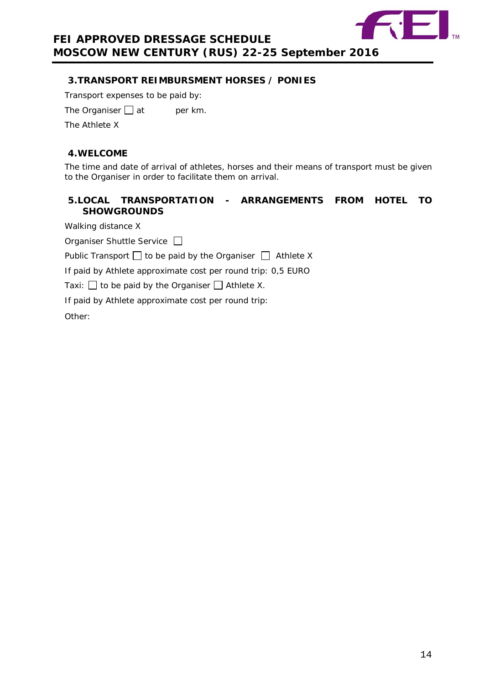

## <span id="page-13-0"></span>**3.TRANSPORT REIMBURSMENT HORSES / PONIES**

Transport expenses to be paid by:

The Organiser  $\Box$  at per km.

The Athlete X

## <span id="page-13-1"></span>**4.WELCOME**

The time and date of arrival of athletes, horses and their means of transport must be given to the Organiser in order to facilitate them on arrival.

## <span id="page-13-2"></span>**5.LOCAL TRANSPORTATION - ARRANGEMENTS FROM HOTEL TO SHOWGROUNDS**

Walking distance X

Organiser Shuttle Service

Public Transport  $\Box$  to be paid by the Organiser  $\Box$  Athlete X

If paid by Athlete approximate cost per round trip: 0,5 EURO

Taxi:  $\Box$  to be paid by the Organiser  $\Box$  Athlete X.

If paid by Athlete approximate cost per round trip:

Other: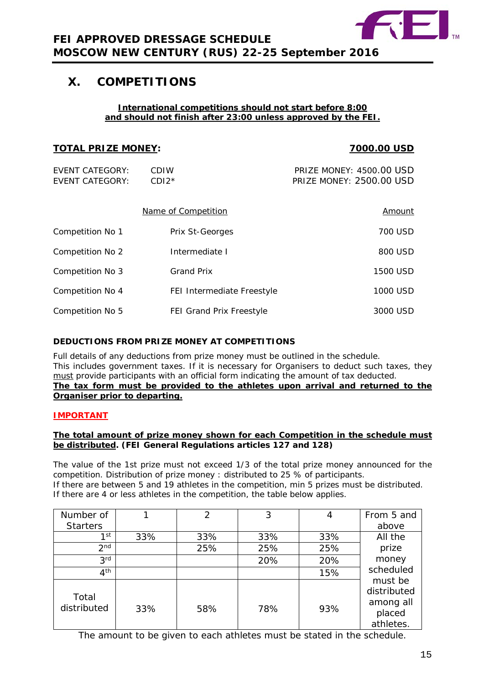

## <span id="page-14-0"></span>**X. COMPETITIONS**

#### **International competitions should not start before 8:00 and should not finish after 23:00 unless approved by the FEI.**

| <b>TOTAL PRIZE MONEY:</b>                        |                                 | 7000.00 USD                                                 |
|--------------------------------------------------|---------------------------------|-------------------------------------------------------------|
| <b>EVENT CATEGORY:</b><br><b>EVENT CATEGORY:</b> | CDIW<br>$CDI2*$                 | <b>PRIZE MONEY: 4500.00 USD</b><br>PRIZE MONEY: 2500.00 USD |
|                                                  | Name of Competition             | Amount                                                      |
| Competition No 1                                 | Prix St-Georges                 | 700 USD                                                     |
| Competition No 2                                 | Intermediate I                  | 800 USD                                                     |
| Competition No 3                                 | <b>Grand Prix</b>               | 1500 USD                                                    |
| Competition No 4                                 | FEI Intermediate Freestyle      | 1000 USD                                                    |
| Competition No 5                                 | <b>FEI Grand Prix Freestyle</b> | 3000 USD                                                    |

## **DEDUCTIONS FROM PRIZE MONEY AT COMPETITIONS**

Full details of any deductions from prize money must be outlined in the schedule. This includes government taxes. If it is necessary for Organisers to deduct such taxes, they must provide participants with an official form indicating the amount of tax deducted. **The tax form must be provided to the athletes upon arrival and returned to the Organiser prior to departing.**

## **IMPORTANT**

#### **The total amount of prize money shown for each Competition in the schedule must be distributed. (FEI General Regulations articles 127 and 128)**

The value of the 1st prize must not exceed 1/3 of the total prize money announced for the competition. Distribution of prize money : distributed to 25 % of participants. If there are between 5 and 19 athletes in the competition, min 5 prizes must be distributed. If there are 4 or less athletes in the competition, the table below applies.

| Number of            |     | 2   | 3   |     | From 5 and                                                 |
|----------------------|-----|-----|-----|-----|------------------------------------------------------------|
| <b>Starters</b>      |     |     |     |     | above                                                      |
| $1$ st               | 33% | 33% | 33% | 33% | All the                                                    |
| 2 <sub>nd</sub>      |     | 25% | 25% | 25% | prize                                                      |
| 3 <sup>rd</sup>      |     |     | 20% | 20% | money                                                      |
| 4 <sup>th</sup>      |     |     |     | 15% | scheduled                                                  |
| Total<br>distributed | 33% | 58% | 78% | 93% | must be<br>distributed<br>among all<br>placed<br>athletes. |

The amount to be given to each athletes must be stated in the schedule.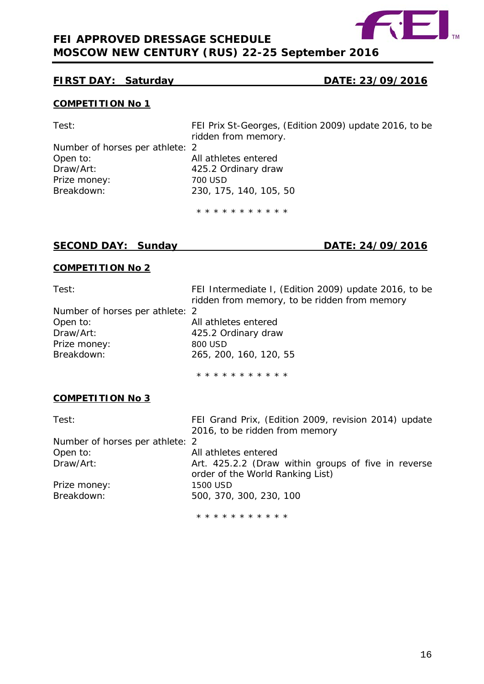

## **FIRST DAY: Saturday DATE: 23/09/2016**

## **COMPETITION No 1**

| Test:                           | FEI Prix St-Georges, (Edition 2009) update 2016, to be |
|---------------------------------|--------------------------------------------------------|
|                                 | ridden from memory.                                    |
| Number of horses per athlete: 2 |                                                        |
| Open to:                        | All athletes entered                                   |
| Draw/Art:                       | 425.2 Ordinary draw                                    |
| Prize money:                    | 700 USD                                                |
| Breakdown:                      | 230, 175, 140, 105, 50                                 |
|                                 | * * * * * * * * * * *                                  |

## **SECOND DAY: Sunday DATE: 24/09/2016**

## **COMPETITION No 2**

| Test:<br>Number of horses per athlete: 2<br>Open to:<br>Draw/Art:<br>Prize money:<br>Breakdown: | FEI Intermediate I, (Edition 2009) update 2016, to be<br>ridden from memory, to be ridden from memory<br>All athletes entered<br>425.2 Ordinary draw<br>800 USD<br>265, 200, 160, 120, 55 |
|-------------------------------------------------------------------------------------------------|-------------------------------------------------------------------------------------------------------------------------------------------------------------------------------------------|
|                                                                                                 | * * * * * * * * * * *                                                                                                                                                                     |
| <b>COMPETITION No 3</b>                                                                         |                                                                                                                                                                                           |
| Test:                                                                                           | FEI Grand Prix, (Edition 2009, revision 2014) update<br>2016, to be ridden from memory                                                                                                    |
| Number of horses per athlete: 2                                                                 |                                                                                                                                                                                           |
| Open to:                                                                                        | All athletes entered                                                                                                                                                                      |
| Draw/Art:                                                                                       | Art. 425.2.2 (Draw within groups of five in reverse<br>order of the World Ranking List)                                                                                                   |
| Prize money:                                                                                    | 1500 USD                                                                                                                                                                                  |
| Breakdown:                                                                                      | 500, 370, 300, 230, 100                                                                                                                                                                   |
|                                                                                                 | * * * * * * * * * * *                                                                                                                                                                     |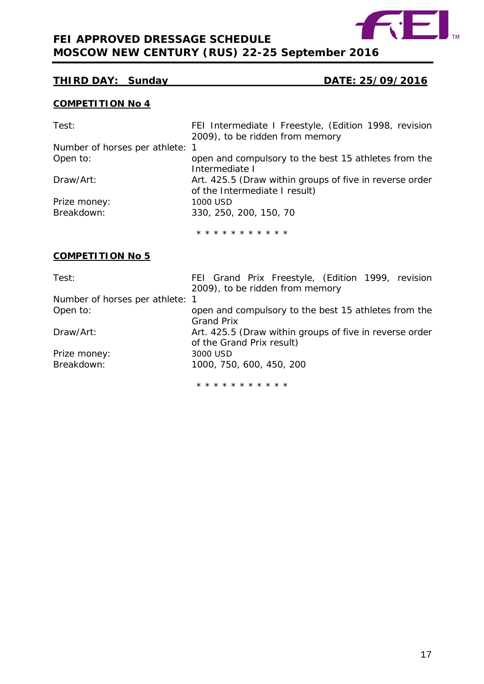

## **THIRD DAY: Sunday DATE: 25/09/2016**

## **COMPETITION No 4**

| Test:                           | FEI Intermediate I Freestyle, (Edition 1998, revision   |  |
|---------------------------------|---------------------------------------------------------|--|
|                                 | 2009), to be ridden from memory                         |  |
| Number of horses per athlete: 1 |                                                         |  |
| Open to:                        | open and compulsory to the best 15 athletes from the    |  |
|                                 | Intermediate I                                          |  |
| Draw/Art:                       | Art. 425.5 (Draw within groups of five in reverse order |  |
|                                 | of the Intermediate I result)                           |  |
| Prize money:                    | 1000 USD                                                |  |
| Breakdown:                      | 330, 250, 200, 150, 70                                  |  |
|                                 |                                                         |  |
|                                 | * * * * * * * * * * *                                   |  |
|                                 |                                                         |  |

## **COMPETITION No 5**

| Test:                           | FEI Grand Prix Freestyle, (Edition 1999, revision       |  |  |
|---------------------------------|---------------------------------------------------------|--|--|
|                                 | 2009), to be ridden from memory                         |  |  |
| Number of horses per athlete: 1 |                                                         |  |  |
| Open to:                        | open and compulsory to the best 15 athletes from the    |  |  |
|                                 | <b>Grand Prix</b>                                       |  |  |
| Draw/Art:                       | Art. 425.5 (Draw within groups of five in reverse order |  |  |
|                                 | of the Grand Prix result)                               |  |  |
| Prize money:                    | 3000 USD                                                |  |  |
| Breakdown:                      | 1000, 750, 600, 450, 200                                |  |  |
|                                 |                                                         |  |  |
|                                 | .                                                       |  |  |

<span id="page-16-0"></span>\* \* \* \* \* \* \* \* \* \* \*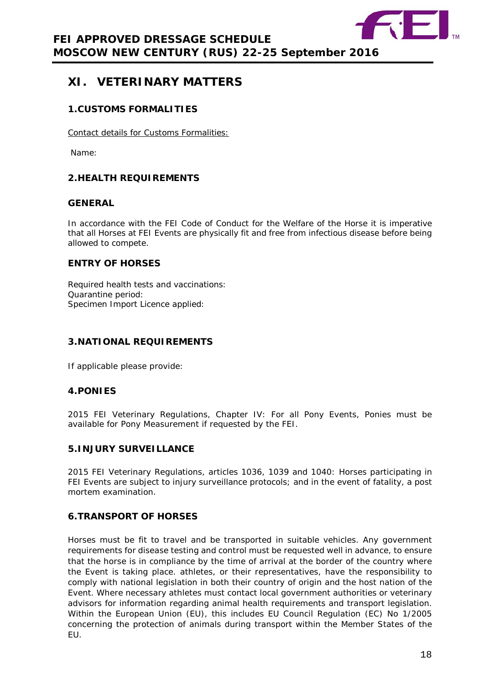

# **XI. VETERINARY MATTERS**

## <span id="page-17-0"></span>**1.CUSTOMS FORMALITIES**

Contact details for Customs Formalities:

Name:

## <span id="page-17-1"></span>**2.HEALTH REQUIREMENTS**

#### **GENERAL**

In accordance with the FEI Code of Conduct for the Welfare of the Horse it is imperative that all Horses at FEI Events are physically fit and free from infectious disease before being allowed to compete.

## **ENTRY OF HORSES**

Required health tests and vaccinations: Quarantine period: Specimen Import Licence applied:

## <span id="page-17-2"></span>**3.NATIONAL REQUIREMENTS**

If applicable please provide:

## <span id="page-17-3"></span>**4.PONIES**

2015 FEI Veterinary Regulations, Chapter IV: For all Pony Events, Ponies must be available for Pony Measurement if requested by the FEI.

## <span id="page-17-4"></span>**5.INJURY SURVEILLANCE**

2015 FEI Veterinary Regulations, articles 1036, 1039 and 1040: Horses participating in FEI Events are subject to injury surveillance protocols; and in the event of fatality, a post mortem examination.

## <span id="page-17-5"></span>**6.TRANSPORT OF HORSES**

Horses must be fit to travel and be transported in suitable vehicles. Any government requirements for disease testing and control must be requested well in advance, to ensure that the horse is in compliance by the time of arrival at the border of the country where the Event is taking place. athletes, or their representatives, have the responsibility to comply with national legislation in both their country of origin and the host nation of the Event. Where necessary athletes must contact local government authorities or veterinary advisors for information regarding animal health requirements and transport legislation. Within the European Union (EU), this includes EU Council Regulation (EC) No 1/2005 concerning the protection of animals during transport within the Member States of the EU.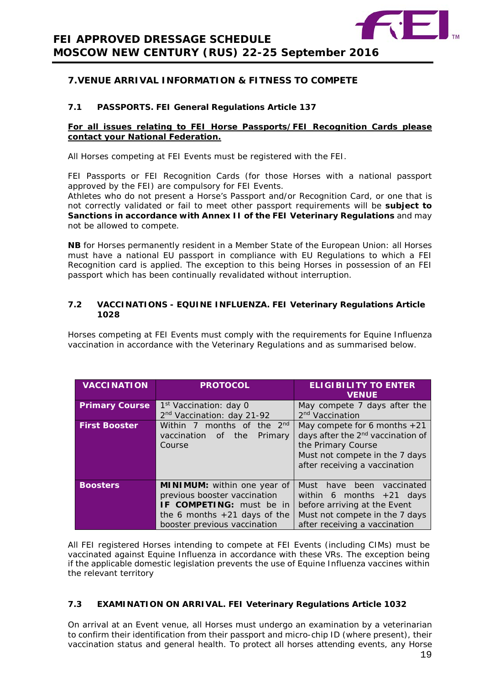

## <span id="page-18-0"></span>**7.VENUE ARRIVAL INFORMATION & FITNESS TO COMPETE**

#### **7.1 PASSPORTS. FEI General Regulations Article 137**

#### **For all issues relating to FEI Horse Passports/FEI Recognition Cards please contact your National Federation.**

All Horses competing at FEI Events must be registered with the FEI.

FEI Passports or FEI Recognition Cards (for those Horses with a national passport approved by the FEI) are compulsory for FEI Events.

Athletes who do not present a Horse's Passport and/or Recognition Card, or one that is not correctly validated or fail to meet other passport requirements will be **subject to Sanctions in accordance with Annex II of the FEI Veterinary Regulations** and may not be allowed to compete.

**NB** for Horses permanently resident in a Member State of the European Union: all Horses must have a national EU passport in compliance with EU Regulations to which a FEI Recognition card is applied. The exception to this being Horses in possession of an FEI passport which has been continually revalidated without interruption.

#### **7.2 VACCINATIONS - EQUINE INFLUENZA. FEI Veterinary Regulations Article 1028**

Horses competing at FEI Events must comply with the requirements for Equine Influenza vaccination in accordance with the Veterinary Regulations and as summarised below.

| <b>VACCINATION</b>    | <b>PROTOCOL</b>                                                                                                                                                  | <b>ELIGIBILITY TO ENTER</b><br><b>VENUE</b>                                                                                                                              |
|-----------------------|------------------------------------------------------------------------------------------------------------------------------------------------------------------|--------------------------------------------------------------------------------------------------------------------------------------------------------------------------|
| <b>Primary Course</b> | 1 <sup>st</sup> Vaccination: day 0<br>2nd Vaccination: day 21-92                                                                                                 | May compete 7 days after the<br>2 <sup>nd</sup> Vaccination                                                                                                              |
| <b>First Booster</b>  | Within 7 months of the 2nd<br>vaccination<br>the<br>Primary<br>of<br>Course                                                                                      | May compete for 6 months $+21$<br>days after the 2 <sup>nd</sup> vaccination of<br>the Primary Course<br>Must not compete in the 7 days<br>after receiving a vaccination |
| <b>Boosters</b>       | <b>MINIMUM:</b> within one year of<br>previous booster vaccination<br>IF COMPETING: must be in<br>the 6 months $+21$ days of the<br>booster previous vaccination | Must have been vaccinated<br>within 6 months $+21$ days<br>before arriving at the Event<br>Must not compete in the 7 days<br>after receiving a vaccination               |

All FEI registered Horses intending to compete at FEI Events (including CIMs) must be vaccinated against Equine Influenza in accordance with these VRs. The exception being if the applicable domestic legislation prevents the use of Equine Influenza vaccines within the relevant territory

## **7.3 EXAMINATION ON ARRIVAL. FEI Veterinary Regulations Article 1032**

On arrival at an Event venue, all Horses must undergo an examination by a veterinarian to confirm their identification from their passport and micro-chip ID (where present), their vaccination status and general health. To protect all horses attending events, any Horse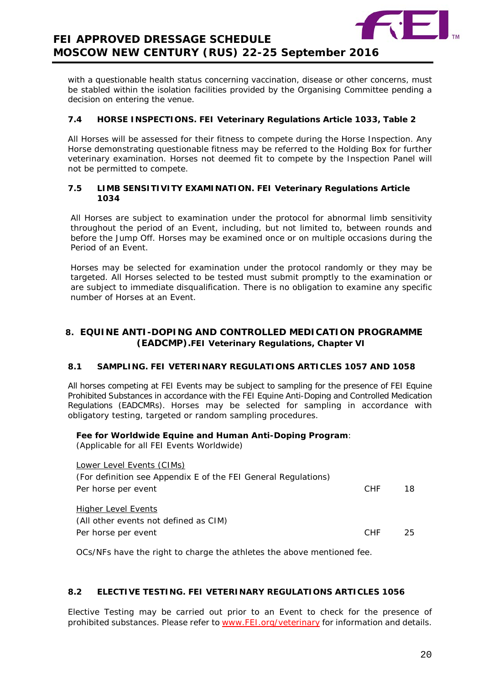

with a questionable health status concerning vaccination, disease or other concerns, must be stabled within the isolation facilities provided by the Organising Committee pending a decision on entering the venue.

#### **7.4 HORSE INSPECTIONS. FEI Veterinary Regulations Article 1033, Table 2**

All Horses will be assessed for their fitness to compete during the Horse Inspection. Any Horse demonstrating questionable fitness may be referred to the Holding Box for further veterinary examination. Horses not deemed fit to compete by the Inspection Panel will not be permitted to compete.

#### **7.5 LIMB SENSITIVITY EXAMINATION. FEI Veterinary Regulations Article 1034**

All Horses are subject to examination under the protocol for abnormal limb sensitivity throughout the period of an Event, including, but not limited to, between rounds and before the Jump Off. Horses may be examined once or on multiple occasions during the Period of an Event.

Horses may be selected for examination under the protocol randomly or they may be targeted. All Horses selected to be tested must submit promptly to the examination or are subject to immediate disqualification. There is no obligation to examine any specific number of Horses at an Event.

## <span id="page-19-0"></span>**8. EQUINE ANTI-DOPING AND CONTROLLED MEDICATION PROGRAMME (EADCMP).FEI Veterinary Regulations, Chapter VI**

#### **8.1 SAMPLING. FEI VETERINARY REGULATIONS ARTICLES 1057 AND 1058**

All horses competing at FEI Events may be subject to sampling for the presence of FEI Equine Prohibited Substances in accordance with the FEI Equine Anti-Doping and Controlled Medication Regulations (EADCMRs). Horses may be selected for sampling in accordance with obligatory testing, targeted or random sampling procedures.

#### **Fee for Worldwide Equine and Human Anti-Doping Program**:

(Applicable for all FEI Events Worldwide)

| Lower Level Events (CIMs)                                      |            |     |
|----------------------------------------------------------------|------------|-----|
| (For definition see Appendix E of the FEI General Regulations) |            |     |
| Per horse per event                                            | <b>CHF</b> | 18. |
| <b>Higher Level Events</b>                                     |            |     |
| (All other events not defined as CIM)                          |            |     |
| Per horse per event                                            | <b>CHF</b> | 25. |

OCs/NFs have the right to charge the athletes the above mentioned fee.

## **8.2 ELECTIVE TESTING. FEI VETERINARY REGULATIONS ARTICLES 1056**

Elective Testing may be carried out prior to an Event to check for the presence of prohibited substances. Please refer to [www.FEI.org/veterinary](http://www.fei.org/veterinary) for information and details.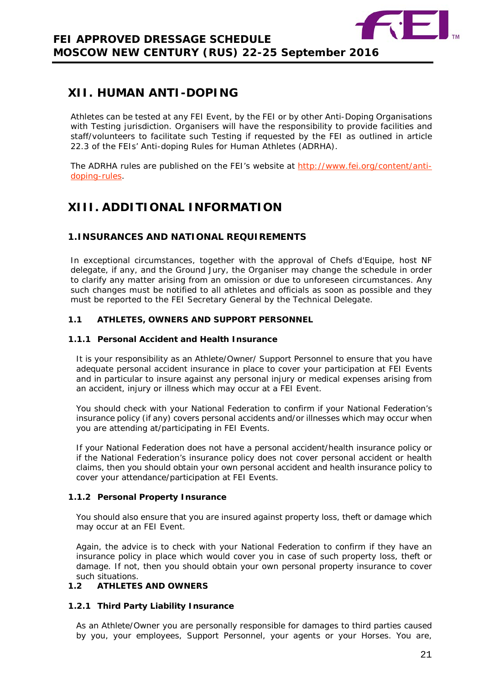

# <span id="page-20-0"></span>**XII. HUMAN ANTI-DOPING**

Athletes can be tested at any FEI Event, by the FEI or by other Anti-Doping Organisations with Testing jurisdiction. Organisers will have the responsibility to provide facilities and staff/volunteers to facilitate such Testing if requested by the FEI as outlined in article 22.3 of the FEIs' Anti-doping Rules for Human Athletes (ADRHA).

The ADRHA rules are published on the FEI's website at [http://www.fei.org/content/anti](http://www.fei.org/content/anti-doping-rules)[doping-rules.](http://www.fei.org/content/anti-doping-rules)

# <span id="page-20-1"></span>**XIII. ADDITIONAL INFORMATION**

## <span id="page-20-2"></span>**1.INSURANCES AND NATIONAL REQUIREMENTS**

In exceptional circumstances, together with the approval of Chefs d'Equipe, host NF delegate, if any, and the Ground Jury, the Organiser may change the schedule in order to clarify any matter arising from an omission or due to unforeseen circumstances. Any such changes must be notified to all athletes and officials as soon as possible and they must be reported to the FEI Secretary General by the Technical Delegate.

#### **1.1 ATHLETES, OWNERS AND SUPPORT PERSONNEL**

#### **1.1.1 Personal Accident and Health Insurance**

It is your responsibility as an Athlete/Owner/ Support Personnel to ensure that you have adequate personal accident insurance in place to cover your participation at FEI Events and in particular to insure against any personal injury or medical expenses arising from an accident, injury or illness which may occur at a FEI Event.

You should check with your National Federation to confirm if your National Federation's insurance policy (if any) covers personal accidents and/or illnesses which may occur when you are attending at/participating in FEI Events.

If your National Federation does not have a personal accident/health insurance policy or if the National Federation's insurance policy does not cover personal accident or health claims, then you should obtain your own personal accident and health insurance policy to cover your attendance/participation at FEI Events.

#### **1.1.2 Personal Property Insurance**

You should also ensure that you are insured against property loss, theft or damage which may occur at an FEI Event.

Again, the advice is to check with your National Federation to confirm if they have an insurance policy in place which would cover you in case of such property loss, theft or damage. If not, then you should obtain your own personal property insurance to cover such situations.

## **1.2 ATHLETES AND OWNERS**

## **1.2.1 Third Party Liability Insurance**

As an Athlete/Owner you are personally responsible for damages to third parties caused by you, your employees, Support Personnel, your agents or your Horses. You are,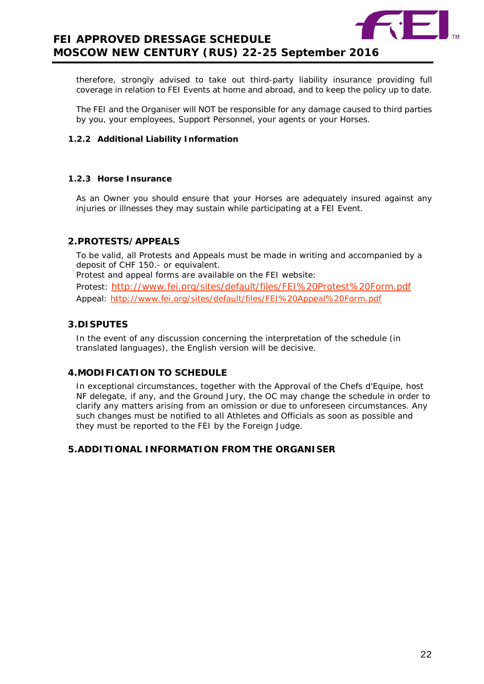

therefore, strongly advised to take out third-party liability insurance providing full coverage in relation to FEI Events at home and abroad, and to keep the policy up to date.

The FEI and the Organiser will NOT be responsible for any damage caused to third parties by you, your employees, Support Personnel, your agents or your Horses.

#### **1.2.2 Additional Liability Information**

#### **1.2.3 Horse Insurance**

As an Owner you should ensure that your Horses are adequately insured against any injuries or illnesses they may sustain while participating at a FEI Event.

## <span id="page-21-0"></span>**2.PROTESTS/APPEALS**

To be valid, all Protests and Appeals must be made in writing and accompanied by a deposit of CHF 150.- or equivalent.

Protest and appeal forms are available on the FEI website:

Protest: <http://www.fei.org/sites/default/files/FEI%20Protest%20Form.pdf> Appeal:<http://www.fei.org/sites/default/files/FEI%20Appeal%20Form.pdf>

## <span id="page-21-1"></span>**3.DISPUTES**

In the event of any discussion concerning the interpretation of the schedule (in translated languages), the English version will be decisive.

## <span id="page-21-2"></span>**4.MODIFICATION TO SCHEDULE**

In exceptional circumstances, together with the Approval of the Chefs d'Equipe, host NF delegate, if any, and the Ground Jury, the OC may change the schedule in order to clarify any matters arising from an omission or due to unforeseen circumstances. Any such changes must be notified to all Athletes and Officials as soon as possible and they must be reported to the FEI by the Foreign Judge.

## <span id="page-21-4"></span><span id="page-21-3"></span>**5.ADDITIONAL INFORMATION FROM THE ORGANISER**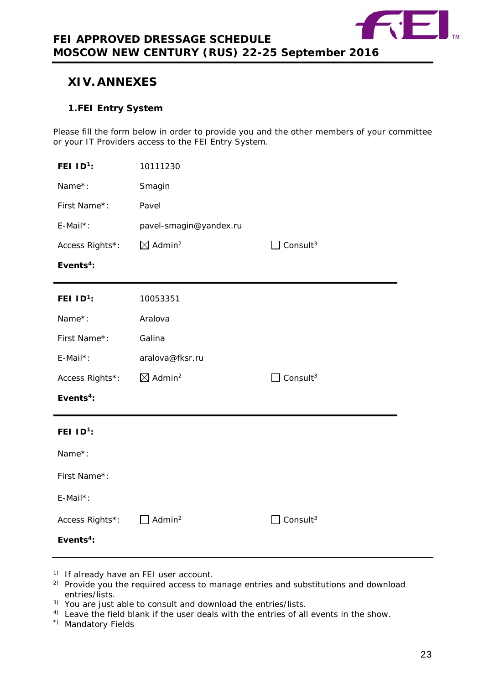

# **XIV. ANNEXES**

## <span id="page-22-0"></span>**1.FEI Entry System**

Please fill the form below in order to provide you and the other members of your committee or your IT Providers access to the FEI Entry System.

| FEI $ID^1$ :          | 10111230                       |                      |
|-----------------------|--------------------------------|----------------------|
| Name*:                | Smagin                         |                      |
| First Name*:          | Pavel                          |                      |
| E-Mail*:              | pavel-smagin@yandex.ru         |                      |
| Access Rights*:       | $\boxtimes$ Admin <sup>2</sup> | Consult <sup>3</sup> |
| Events <sup>4</sup> : |                                |                      |
| FEI ID <sup>1</sup> : | 10053351                       |                      |
| Name*:                | Aralova                        |                      |
| First Name*:          | Galina                         |                      |
| E-Mail*:              | aralova@fksr.ru                |                      |
| Access Rights*:       | $\boxtimes$ Admin <sup>2</sup> | Consult <sup>3</sup> |
| Events <sup>4</sup> : |                                |                      |
| FEI $ID^1$ :          |                                |                      |
| Name*:                |                                |                      |
| First Name*:          |                                |                      |
| E-Mail*:              |                                |                      |
| Access Rights*:       | Admin <sup>2</sup>             | Consult <sup>3</sup> |
| Events <sup>4</sup> : |                                |                      |

- <sup>1)</sup> If already have an FEI user account.
- <sup>2)</sup> Provide you the required access to manage entries and substitutions and download entries/lists.
- 3) You are just able to consult and download the entries/lists.
- <sup>4)</sup> Leave the field blank if the user deals with the entries of all events in the show.
- \*) Mandatory Fields